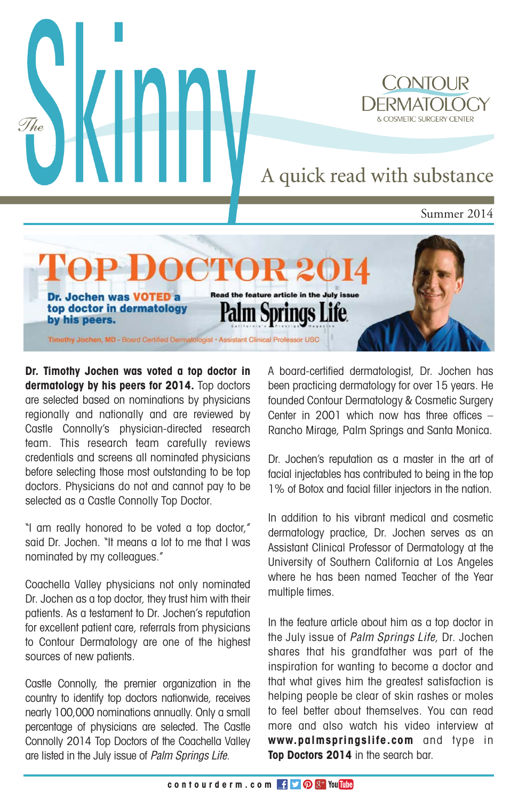

**Dr. Timothy Jochen was voted a top doctor in dermatology by his peers for 2014.** Top doctors are selected based on nominations by physicians regionally and nationally and are reviewed by Castle Connolly's physician-directed research team. This research team carefully reviews credentials and screens all nominated physicians before selecting those most outstanding to be top doctors. Physicians do not and cannot pay to be selected as a Castle Connolly Top Doctor.

"I am really honored to be voted a top doctor," said Dr. Jochen. "It means a lot to me that I was nominated by my colleagues."

Coachella Valley physicians not only nominated Dr. Jochen as a top doctor, they trust him with their patients. As a testament to Dr. Jochen's reputation for excellent patient care, referrals from physicians to Contour Dermatology are one of the highest sources of new patients.

Castle Connolly, the premier organization in the country to identify top doctors nationwide, receives nearly 100,000 nominations annually. Only a small percentage of physicians are selected. The Castle Connolly 2014 Top Doctors of the Coachella Valley are listed in the July issue of *Palm Springs Life*.

A board-certified dermatologist, Dr. Jochen has been practicing dermatology for over 15 years. He founded Contour Dermatology & Cosmetic Surgery Center in 2001 which now has three offices – Rancho Mirage, Palm Springs and Santa Monica.

Dr. Jochen's reputation as a master in the art of facial injectables has contributed to being in the top 1% of Botox and facial filler injectors in the nation.

In addition to his vibrant medical and cosmetic dermatology practice, Dr. Jochen serves as an Assistant Clinical Professor of Dermatology at the University of Southern California at Los Angeles where he has been named Teacher of the Year multiple times.

In the feature article about him as a top doctor in the July issue of *Palm Springs Life*, Dr. Jochen shares that his grandfather was part of the inspiration for wanting to become a doctor and that what gives him the greatest satisfaction is helping people be clear of skin rashes or moles to feel better about themselves. You can read more and also watch his video interview at **www.palmspringslife.com** and type in **Top Doctors 2014** in the search bar.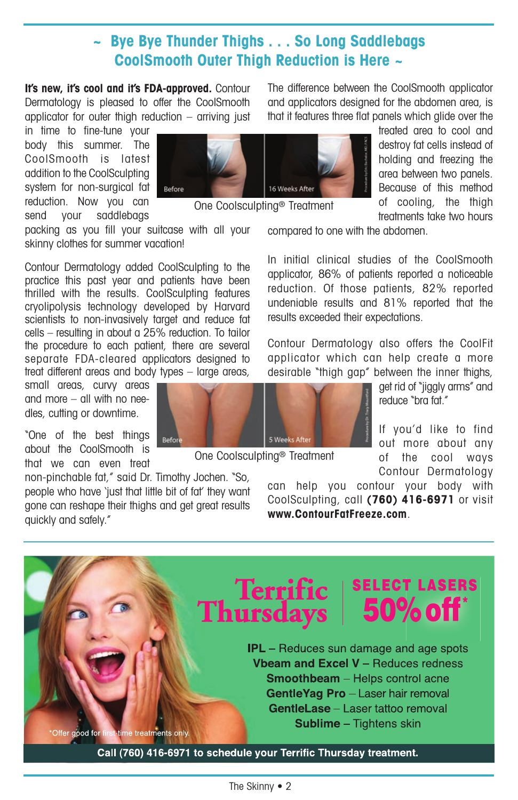### **~ Bye Bye Thunder Thighs . . . So Long Saddlebags CoolSmooth Outer Thigh Reduction is Here ~**

It's new, it's cool and it's FDA-approved. Contour Dermatology is pleased to offer the CoolSmooth applicator for outer thigh reduction  $-$  arriving just

in time to fine-tune your body this summer. The CoolSmooth is latest addition to the CoolSculpting system for non-surgical fat reduction. Now you can send vour saddlebags



One Coolsculpting® Treatment

packing as you fill your suitcase with all your skinny clothes for summer vacation!

Contour Dermatology added CoolSculpting to the practice this past year and patients have been thrilled with the results. CoolSculpting features cryolipolysis technology developed by Harvard scientists to non-invasively target and reduce fat cells – resulting in about a 25% reduction. To tailor the procedure to each patient, there are several separate FDA-cleared applicators designed to treat different areas and body types – large areas,

small areas, curvy areas and more – all with no needles, cutting or downtime.

"One of the best things about the CoolSmooth is that we can even treat

non-pinchable fat," said Dr. Timothy Jochen. "So, people who have 'just that little bit of fat' they want gone can reshape their thighs and get great results quickly and safely."

Befor

The difference between the CoolSmooth applicator and applicators designed for the abdomen area, is that it features three flat panels which glide over the

treated area to cool and destroy fat cells instead of holding and freezing the area between two panels. Because of this method of cooling, the thigh treatments take two hours

compared to one with the abdomen.

In initial clinical studies of the CoolSmooth applicator, 86% of patients reported a noticeable reduction. Of those patients, 82% reported undeniable results and 81% reported that the results exceeded their expectations.

Contour Dermatology also offers the CoolFit applicator which can help create a more desirable "thigh gap" between the inner thighs,



get rid of "jiggly arms" and reduce "bra fat."

If you'd like to find out more about any of the cool ways Contour Dermatology

can help you contour your body with CoolSculpting, call **(760) 416-6971** or visit **www.ContourFatFreeze.com**.

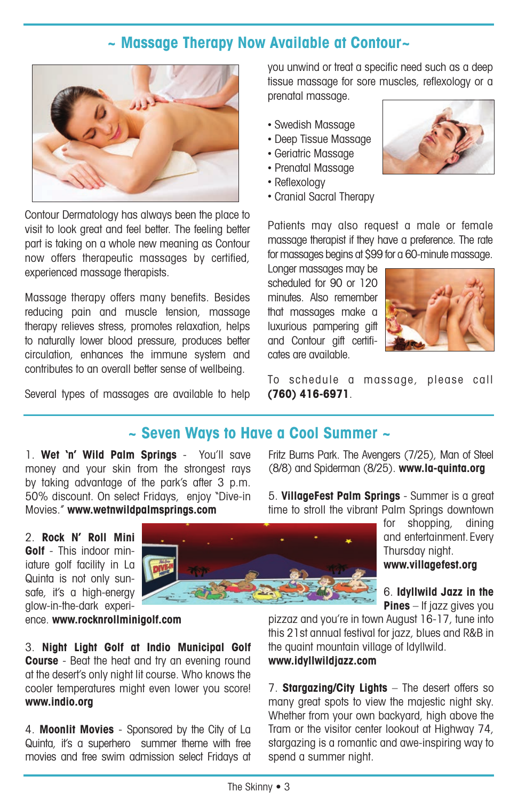## **~ Massage Therapy Now Available at Contour~**



Contour Dermatology has always been the place to visit to look great and feel better. The feeling better part is taking on a whole new meaning as Contour now offers therapeutic massages by certified, experienced massage therapists.

Massage therapy offers many benefits. Besides reducing pain and muscle tension, massage therapy relieves stress, promotes relaxation, helps to naturally lower blood pressure, produces better circulation, enhances the immune system and contributes to an overall better sense of wellbeing.

Several types of massages are available to help

you unwind or treat a specific need such as a deep tissue massage for sore muscles, reflexology or a prenatal massage.

- Swedish Massage
- Deep Tissue Massage
- Geriatric Massage
- Prenatal Massage
- Reflexology
- Cranial Sacral Therapy

Patients may also request a male or female massage therapist if they have a preference. The rate for massages begins at \$99 for a 60-minute massage.

Longer massages may be scheduled for 90 or 120 minutes. Also remember that massages make a luxurious pampering gift and Contour gift certificates are available.



To schedule a massage, please call **(760) 416-6971**.

## **~ Seven Ways to Have a Cool Summer ~**

1. **Wet 'n' Wild Palm Springs** - You'll save money and your skin from the strongest rays by taking advantage of the park's after 3 p.m. 50% discount. On select Fridays, enjoy "Dive-in Movies." **www.wetnwildpalmsprings.com**

2. **Rock N' Roll Mini Golf** - This indoor miniature golf facility in La Quinta is not only sunsafe, it's a high-energy glow-in-the-dark experi-

ence. **www.rocknrollminigolf.com**

3. **Night Light Golf at Indio Municipal Golf Course** - Beat the heat and try an evening round at the desert's only night lit course. Who knows the cooler temperatures might even lower you score! **www.indio.org**

4. **Moonlit Movies** - Sponsored by the City of La Quinta, it's a superhero summer theme with free movies and free swim admission select Fridays at

Fritz Burns Park. The Avengers (7/25), Man of Steel (8/8) and Spiderman (8/25). **www.la-quinta.org**

5. **VillageFest Palm Springs** - Summer is a great time to stroll the vibrant Palm Springs downtown

> for shopping, dining and entertainment.Every Thursday night. **www.villagefest.org**

> 6. **Idyllwild Jazz in the Pines** – If jazz gives you

pizzaz and you're in town August 16-17, tune into this 21st annual festival for jazz, blues and R&B in the quaint mountain village of Idyllwild. **www.idyllwildjazz.com**

7. **Stargazing/City Lights** – The desert offers so many great spots to view the majestic night sky. Whether from your own backyard, high above the Tram or the visitor center lookout at Highway 74, stargazing is a romantic and awe-inspiring way to spend a summer night.

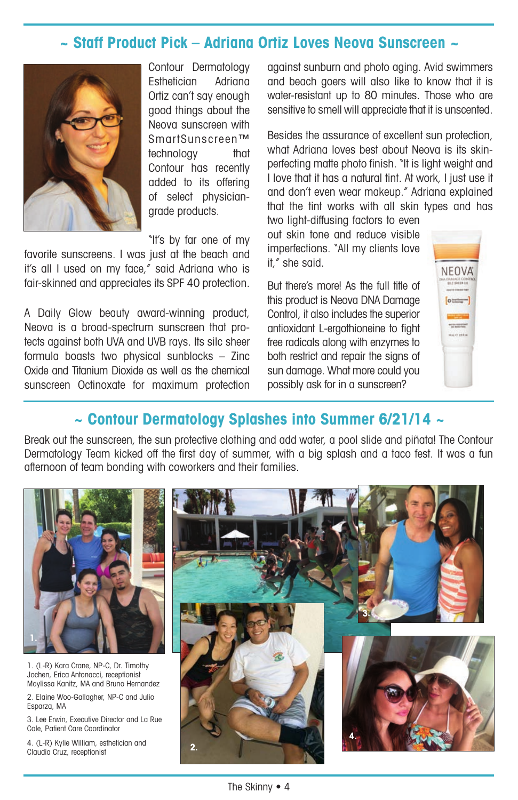### **~ Staff Product Pick – Adriana Ortiz Loves Neova Sunscreen ~**



Contour Dermatology Esthetician Adriana Ortiz can't say enough good things about the Neova sunscreen with SmartSunscreen™ technology that Contour has recently added to its offering of select physiciangrade products.

"It's by far one of my

favorite sunscreens. I was just at the beach and it's all I used on my face," said Adriana who is fair-skinned and appreciates its SPF 40 protection.

A Daily Glow beauty award-winning product, Neova is a broad-spectrum sunscreen that protects against both UVA and UVB rays. Its silc sheer formula boasts two physical sunblocks – Zinc Oxide and Titanium Dioxide as well as the chemical sunscreen Octinoxate for maximum protection against sunburn and photo aging. Avid swimmers and beach goers will also like to know that it is water-resistant up to 80 minutes. Those who are sensitive to smell will appreciate that it is unscented.

Besides the assurance of excellent sun protection, what Adriana loves best about Neova is its skinperfecting matte photo finish. "It is light weight and I love that it has a natural tint. At work, I just use it and don't even wear makeup." Adriana explained that the tint works with all skin types and has

two light-diffusing factors to even out skin tone and reduce visible imperfections. "All my clients love it," she said.

But there's more! As the full title of this product is Neova DNA Damage Control, it also includes the superior antioxidant L-ergothioneine to fight free radicals along with enzymes to both restrict and repair the signs of sun damage. What more could you possibly ask for in a sunscreen?



## **~ Contour Dermatology Splashes into Summer 6/21/14 ~**

Break out the sunscreen, the sun protective clothing and add water, a pool slide and piñata! The Contour Dermatology Team kicked off the first day of summer, with a big splash and a taco fest. It was a fun afternoon of team bonding with coworkers and their families.

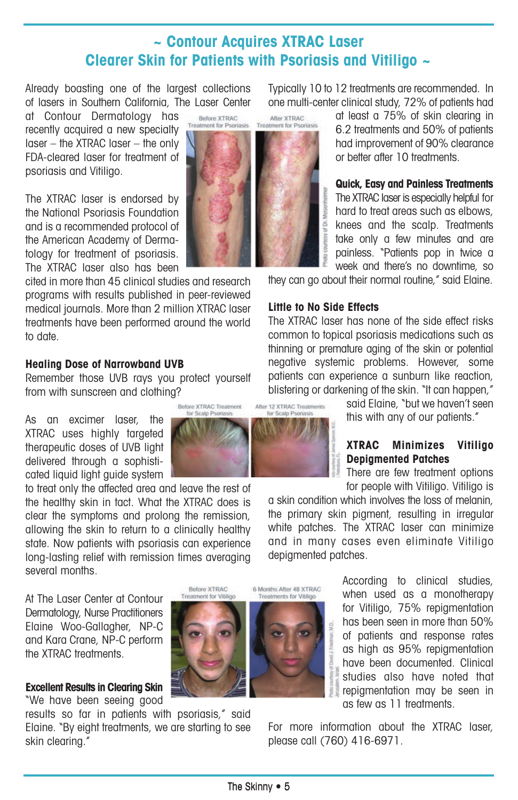## **~ Contour Acquires XTRAC Laser Clearer Skin for Patients with Psoriasis and Vitiligo ~**

Already boasting one of the largest collections of lasers in Southern California, The Laser Center

at Contour Dermatology has recently acquired a new specialty laser – the XTRAC laser – the only FDA-cleared laser for treatment of psoriasis and Vitiligo.

The XTRAC laser is endorsed by the National Psoriasis Foundation and is a recommended protocol of the American Academy of Dermatology for treatment of psoriasis. The XTRAC laser also has been

cited in more than 45 clinical studies and research programs with results published in peer-reviewed medical journals. More than 2 million XTRAC laser treatments have been performed around the world to date.

### **Healing Dose of Narrowband UVB**

Remember those UVB rays you protect yourself from with sunscreen and clothing?

As an excimer laser, the XTRAC uses highly targeted therapeutic doses of UVB light delivered through a sophisticated liquid light guide system

to treat only the affected area and leave the rest of the healthy skin in tact. What the XTRAC does is clear the symptoms and prolong the remission, allowing the skin to return to a clinically healthy state. Now patients with psoriasis can experience long-lasting relief with remission times averaging several months.

At The Laser Center at Contour Dermatology, Nurse Practitioners Elaine Woo-Gallagher, NP-C and Kara Crane, NP-C perform the XTRAC treatments.

### **Excellent Results in Clearing Skin**

"We have been seeing good

results so far in patients with psoriasis," said Elaine. "By eight treatments, we are starting to see skin clearing."

Typically 10 to 12 treatments are recommended. In one multi-center clinical study, 72% of patients had



at least a 75% of skin clearing in 6.2 treatments and 50% of patients had improvement of 90% clearance or better after 10 treatments.

# **Quick, Easy and Painless Treatments**

The XTRAC laser is especially helpful for hard to treat areas such as elbows, knees and the scalp. Treatments take only a few minutes and are painless. "Patients pop in twice a week and there's no downtime, so

they can go about their normal routine," said Elaine.

#### **Little to No Side Effects**

The XTRAC laser has none of the side effect risks common to topical psoriasis medications such as thinning or premature aging of the skin or potential negative systemic problems. However, some patients can experience a sunburn like reaction, blistering or darkening of the skin. "It can happen,"

> said Elaine, "but we haven't seen this with any of our patients."

### **XTRAC Minimizes Vitiligo Depigmented Patches**

There are few treatment options for people with Vitiligo. Vitiligo is

a skin condition which involves the loss of melanin, the primary skin pigment, resulting in irregular white patches. The XTRAC laser can minimize and in many cases even eliminate Vitiligo depigmented patches.

> According to clinical studies, when used as a monotherapy for Vitiligo, 75% repigmentation has been seen in more than 50% of patients and response rates as high as 95% repigmentation have been documented. Clinical studies also have noted that repigmentation may be seen in as few as 11 treatments.

For more information about the XTRAC laser, please call (760) 416-6971.



Before XTRAC Treatment for Scalo Deprincip

Before XTRAC

6 Months After 48 XTRAC

After 12 XTRAC Treatments

for Scalp Psoriasis